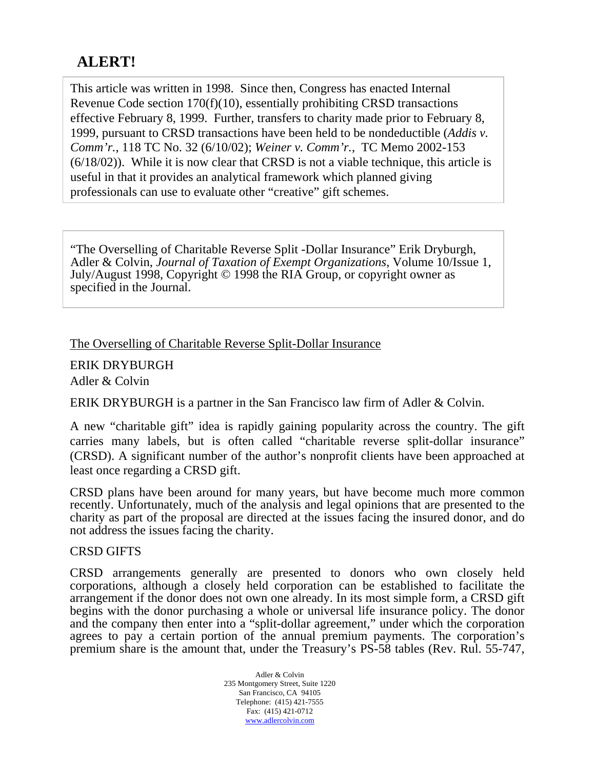# **ALERT!**

This article was written in 1998. Since then, Congress has enacted Internal Revenue Code section 170(f)(10), essentially prohibiting CRSD transactions effective February 8, 1999. Further, transfers to charity made prior to February 8, 1999, pursuant to CRSD transactions have been held to be nondeductible (*Addis v. Comm'r.*, 118 TC No. 32 (6/10/02); *Weiner v. Comm'r.*, TC Memo 2002-153 (6/18/02)). While it is now clear that CRSD is not a viable technique, this article is useful in that it provides an analytical framework which planned giving professionals can use to evaluate other "creative" gift schemes.

"The Overselling of Charitable Reverse Split -Dollar Insurance" Erik Dryburgh, Adler & Colvin, *Journal of Taxation of Exempt Organizations*, Volume 10/Issue 1, July/August 1998, Copyright © 1998 the RIA Group, or copyright owner as specified in the Journal.

## The Overselling of Charitable Reverse Split-Dollar Insurance

ERIK DRYBURGH

Adler & Colvin

ERIK DRYBURGH is a partner in the San Francisco law firm of Adler & Colvin.

A new "charitable gift" idea is rapidly gaining popularity across the country. The gift carries many labels, but is often called "charitable reverse split-dollar insurance" (CRSD). A significant number of the author's nonprofit clients have been approached at least once regarding a CRSD gift.

CRSD plans have been around for many years, but have become much more common recently. Unfortunately, much of the analysis and legal opinions that are presented to the charity as part of the proposal are directed at the issues facing the insured donor, and do not address the issues facing the charity.

## CRSD GIFTS

CRSD arrangements generally are presented to donors who own closely held corporations, although a closely held corporation can be established to facilitate the arrangement if the donor does not own one already. In its most simple form, a CRSD gift begins with the donor purchasing a whole or universal life insurance policy. The donor and the company then enter into a "split-dollar agreement," under which the corporation agrees to pay a certain portion of the annual premium payments. The corporation's premium share is the amount that, under the Treasury's PS-58 tables (Rev. Rul. 55-747,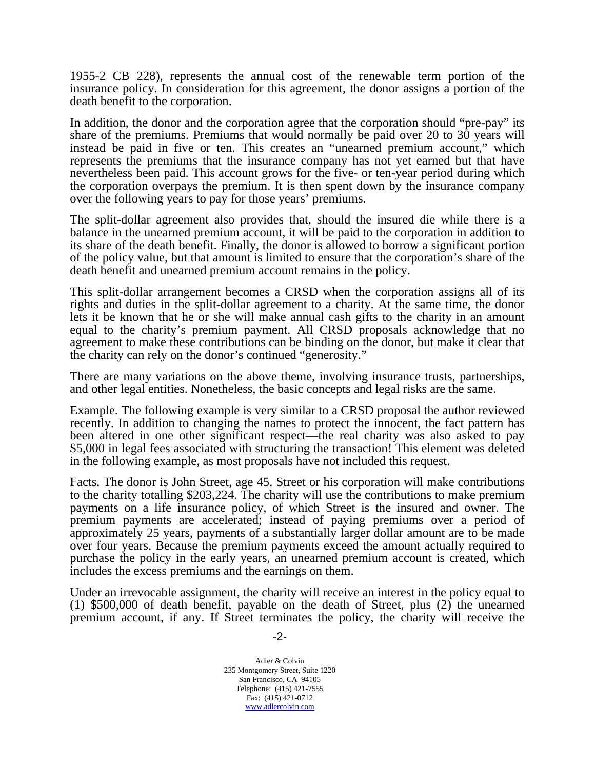1955-2 CB 228), represents the annual cost of the renewable term portion of the insurance policy. In consideration for this agreement, the donor assigns a portion of the death benefit to the corporation.

In addition, the donor and the corporation agree that the corporation should "pre-pay" its share of the premiums. Premiums that would normally be paid over 20 to 30 years will instead be paid in five or ten. This creates an "unearned premium account," which represents the premiums that the insurance company has not yet earned but that have nevertheless been paid. This account grows for the five- or ten-year period during which the corporation overpays the premium. It is then spent down by the insurance company over the following years to pay for those years' premiums.

The split-dollar agreement also provides that, should the insured die while there is a balance in the unearned premium account, it will be paid to the corporation in addition to its share of the death benefit. Finally, the donor is allowed to borrow a significant portion of the policy value, but that amount is limited to ensure that the corporation's share of the death benefit and unearned premium account remains in the policy.

This split-dollar arrangement becomes a CRSD when the corporation assigns all of its rights and duties in the split-dollar agreement to a charity. At the same time, the donor lets it be known that he or she will make annual cash gifts to the charity in an amount equal to the charity's premium payment. All CRSD proposals acknowledge that no agreement to make these contributions can be binding on the donor, but make it clear that the charity can rely on the donor's continued "generosity."

There are many variations on the above theme, involving insurance trusts, partnerships, and other legal entities. Nonetheless, the basic concepts and legal risks are the same.

Example. The following example is very similar to a CRSD proposal the author reviewed recently. In addition to changing the names to protect the innocent, the fact pattern has been altered in one other significant respect—the real charity was also asked to pay \$5,000 in legal fees associated with structuring the transaction! This element was deleted in the following example, as most proposals have not included this request.

Facts. The donor is John Street, age 45. Street or his corporation will make contributions to the charity totalling \$203,224. The charity will use the contributions to make premium payments on a life insurance policy, of which Street is the insured and owner. The premium payments are accelerated; instead of paying premiums over a period of approximately 25 years, payments of a substantially larger dollar amount are to be made over four years. Because the premium payments exceed the amount actually required to purchase the policy in the early years, an unearned premium account is created, which includes the excess premiums and the earnings on them.

Under an irrevocable assignment, the charity will receive an interest in the policy equal to (1) \$500,000 of death benefit, payable on the death of Street, plus (2) the unearned premium account, if any. If Street terminates the policy, the charity will receive the

-2-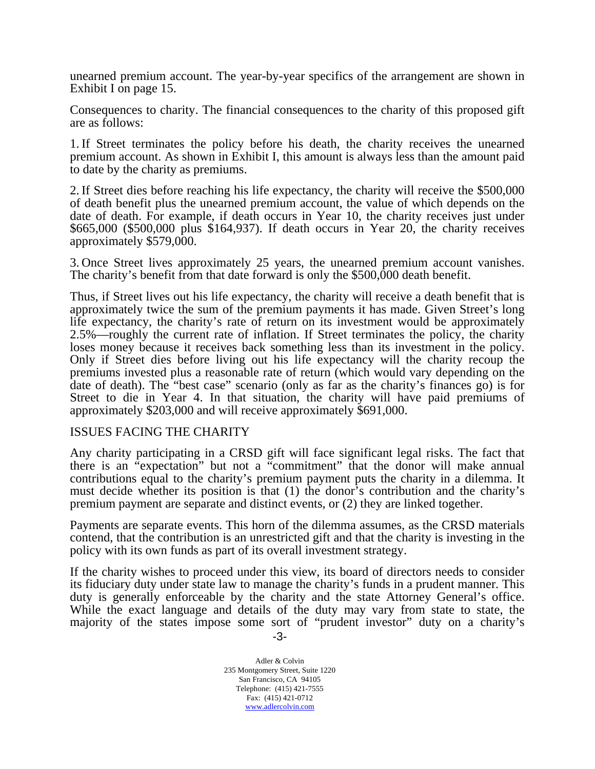unearned premium account. The year-by-year specifics of the arrangement are shown in Exhibit I on page 15.

Consequences to charity. The financial consequences to the charity of this proposed gift are as follows:

1. If Street terminates the policy before his death, the charity receives the unearned premium account. As shown in Exhibit I, this amount is always less than the amount paid to date by the charity as premiums.

2. If Street dies before reaching his life expectancy, the charity will receive the \$500,000 of death benefit plus the unearned premium account, the value of which depends on the date of death. For example, if death occurs in Year 10, the charity receives just under \$665,000 (\$500,000 plus \$164,937). If death occurs in Year 20, the charity receives approximately \$579,000.

3. Once Street lives approximately 25 years, the unearned premium account vanishes. The charity's benefit from that date forward is only the \$500,000 death benefit.

Thus, if Street lives out his life expectancy, the charity will receive a death benefit that is approximately twice the sum of the premium payments it has made. Given Street's long life expectancy, the charity's rate of return on its investment would be approximately 2.5%—roughly the current rate of inflation. If Street terminates the policy, the charity loses money because it receives back something less than its investment in the policy. Only if Street dies before living out his life expectancy will the charity recoup the premiums invested plus a reasonable rate of return (which would vary depending on the date of death). The "best case" scenario (only as far as the charity's finances go) is for Street to die in Year 4. In that situation, the charity will have paid premiums of approximately \$203,000 and will receive approximately \$691,000.

### ISSUES FACING THE CHARITY

Any charity participating in a CRSD gift will face significant legal risks. The fact that there is an "expectation" but not a "commitment" that the donor will make annual contributions equal to the charity's premium payment puts the charity in a dilemma. It must decide whether its position is that (1) the donor's contribution and the charity's premium payment are separate and distinct events, or (2) they are linked together.

Payments are separate events. This horn of the dilemma assumes, as the CRSD materials contend, that the contribution is an unrestricted gift and that the charity is investing in the policy with its own funds as part of its overall investment strategy.

 -3- If the charity wishes to proceed under this view, its board of directors needs to consider its fiduciary duty under state law to manage the charity's funds in a prudent manner. This duty is generally enforceable by the charity and the state Attorney General's office. While the exact language and details of the duty may vary from state to state, the majority of the states impose some sort of "prudent investor" duty on a charity's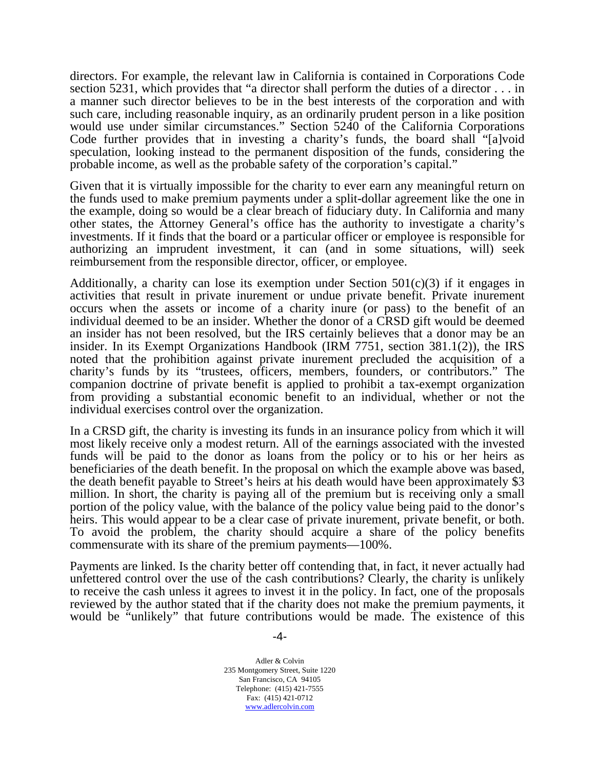directors. For example, the relevant law in California is contained in Corporations Code section 5231, which provides that "a director shall perform the duties of a director . . . in a manner such director believes to be in the best interests of the corporation and with such care, including reasonable inquiry, as an ordinarily prudent person in a like position would use under similar circumstances." Section 5240 of the California Corporations Code further provides that in investing a charity's funds, the board shall "[a]void speculation, looking instead to the permanent disposition of the funds, considering the probable income, as well as the probable safety of the corporation's capital."

Given that it is virtually impossible for the charity to ever earn any meaningful return on the funds used to make premium payments under a split-dollar agreement like the one in the example, doing so would be a clear breach of fiduciary duty. In California and many other states, the Attorney General's office has the authority to investigate a charity's investments. If it finds that the board or a particular officer or employee is responsible for authorizing an imprudent investment, it can (and in some situations, will) seek reimbursement from the responsible director, officer, or employee.

Additionally, a charity can lose its exemption under Section  $501(c)(3)$  if it engages in activities that result in private inurement or undue private benefit. Private inurement occurs when the assets or income of a charity inure (or pass) to the benefit of an individual deemed to be an insider. Whether the donor of a CRSD gift would be deemed an insider has not been resolved, but the IRS certainly believes that a donor may be an insider. In its Exempt Organizations Handbook (IRM 7751, section 381.1(2)), the IRS noted that the prohibition against private inurement precluded the acquisition of a charity's funds by its "trustees, officers, members, founders, or contributors." The companion doctrine of private benefit is applied to prohibit a tax-exempt organization from providing a substantial economic benefit to an individual, whether or not the individual exercises control over the organization.

In a CRSD gift, the charity is investing its funds in an insurance policy from which it will most likely receive only a modest return. All of the earnings associated with the invested funds will be paid to the donor as loans from the policy or to his or her heirs as beneficiaries of the death benefit. In the proposal on which the example above was based, the death benefit payable to Street's heirs at his death would have been approximately \$3 million. In short, the charity is paying all of the premium but is receiving only a small portion of the policy value, with the balance of the policy value being paid to the donor's heirs. This would appear to be a clear case of private inurement, private benefit, or both. To avoid the problem, the charity should acquire a share of the policy benefits commensurate with its share of the premium payments—100%.

Payments are linked. Is the charity better off contending that, in fact, it never actually had unfettered control over the use of the cash contributions? Clearly, the charity is unlikely to receive the cash unless it agrees to invest it in the policy. In fact, one of the proposals reviewed by the author stated that if the charity does not make the premium payments, it would be "unlikely" that future contributions would be made. The existence of this

-4-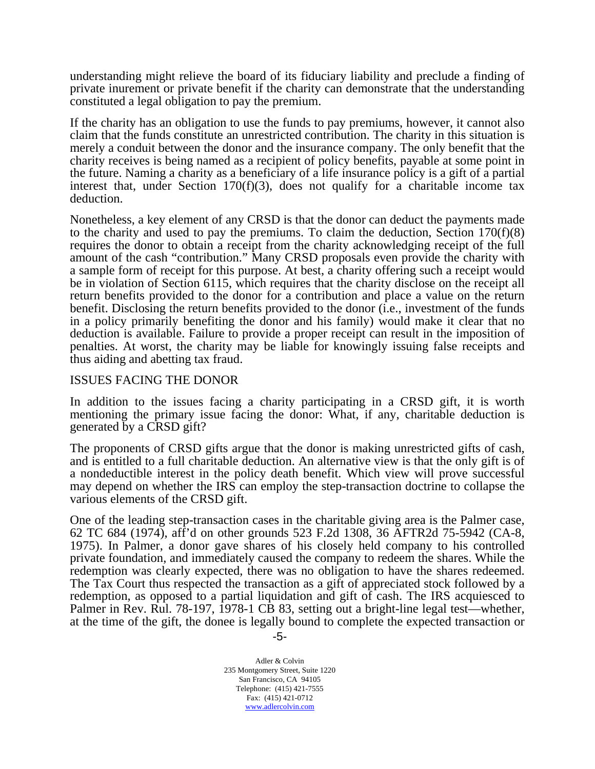understanding might relieve the board of its fiduciary liability and preclude a finding of private inurement or private benefit if the charity can demonstrate that the understanding constituted a legal obligation to pay the premium.

If the charity has an obligation to use the funds to pay premiums, however, it cannot also claim that the funds constitute an unrestricted contribution. The charity in this situation is merely a conduit between the donor and the insurance company. The only benefit that the charity receives is being named as a recipient of policy benefits, payable at some point in the future. Naming a charity as a beneficiary of a life insurance policy is a gift of a partial interest that, under Section  $170(f)(3)$ , does not qualify for a charitable income tax deduction.

Nonetheless, a key element of any CRSD is that the donor can deduct the payments made to the charity and used to pay the premiums. To claim the deduction, Section 170(f)(8) requires the donor to obtain a receipt from the charity acknowledging receipt of the full amount of the cash "contribution." Many CRSD proposals even provide the charity with a sample form of receipt for this purpose. At best, a charity offering such a receipt would be in violation of Section 6115, which requires that the charity disclose on the receipt all return benefits provided to the donor for a contribution and place a value on the return benefit. Disclosing the return benefits provided to the donor (i.e., investment of the funds in a policy primarily benefiting the donor and his family) would make it clear that no deduction is available. Failure to provide a proper receipt can result in the imposition of penalties. At worst, the charity may be liable for knowingly issuing false receipts and thus aiding and abetting tax fraud.

#### ISSUES FACING THE DONOR

In addition to the issues facing a charity participating in a CRSD gift, it is worth mentioning the primary issue facing the donor: What, if any, charitable deduction is generated by a CRSD gift?

The proponents of CRSD gifts argue that the donor is making unrestricted gifts of cash, and is entitled to a full charitable deduction. An alternative view is that the only gift is of a nondeductible interest in the policy death benefit. Which view will prove successful may depend on whether the IRS can employ the step-transaction doctrine to collapse the various elements of the CRSD gift.

One of the leading step-transaction cases in the charitable giving area is the Palmer case, 62 TC 684 (1974), aff'd on other grounds 523 F.2d 1308, 36 AFTR2d 75-5942 (CA-8, 1975). In Palmer, a donor gave shares of his closely held company to his controlled private foundation, and immediately caused the company to redeem the shares. While the redemption was clearly expected, there was no obligation to have the shares redeemed. The Tax Court thus respected the transaction as a gift of appreciated stock followed by a redemption, as opposed to a partial liquidation and gift of cash. The IRS acquiesced to Palmer in Rev. Rul. 78-197, 1978-1 CB 83, setting out a bright-line legal test—whether, at the time of the gift, the donee is legally bound to complete the expected transaction or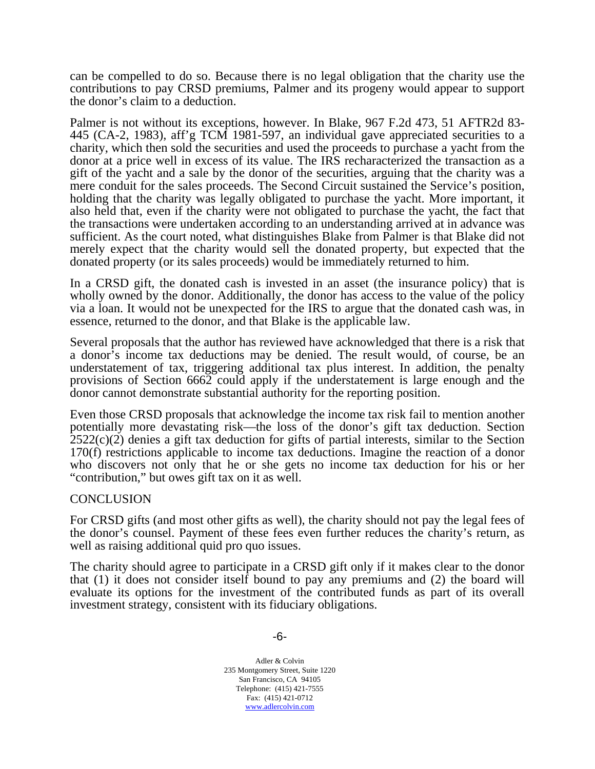can be compelled to do so. Because there is no legal obligation that the charity use the contributions to pay CRSD premiums, Palmer and its progeny would appear to support the donor's claim to a deduction.

Palmer is not without its exceptions, however. In Blake, 967 F.2d 473, 51 AFTR2d 83- 445 (CA-2, 1983), aff'g TCM 1981-597, an individual gave appreciated securities to a charity, which then sold the securities and used the proceeds to purchase a yacht from the donor at a price well in excess of its value. The IRS recharacterized the transaction as a gift of the yacht and a sale by the donor of the securities, arguing that the charity was a mere conduit for the sales proceeds. The Second Circuit sustained the Service's position, holding that the charity was legally obligated to purchase the yacht. More important, it also held that, even if the charity were not obligated to purchase the yacht, the fact that the transactions were undertaken according to an understanding arrived at in advance was sufficient. As the court noted, what distinguishes Blake from Palmer is that Blake did not merely expect that the charity would sell the donated property, but expected that the donated property (or its sales proceeds) would be immediately returned to him.

In a CRSD gift, the donated cash is invested in an asset (the insurance policy) that is wholly owned by the donor. Additionally, the donor has access to the value of the policy via a loan. It would not be unexpected for the IRS to argue that the donated cash was, in essence, returned to the donor, and that Blake is the applicable law.

Several proposals that the author has reviewed have acknowledged that there is a risk that a donor's income tax deductions may be denied. The result would, of course, be an understatement of tax, triggering additional tax plus interest. In addition, the penalty provisions of Section 6662 could apply if the understatement is large enough and the donor cannot demonstrate substantial authority for the reporting position.

Even those CRSD proposals that acknowledge the income tax risk fail to mention another potentially more devastating risk—the loss of the donor's gift tax deduction. Section  $2522(c)(2)$  denies a gift tax deduction for gifts of partial interests, similar to the Section 170(f) restrictions applicable to income tax deductions. Imagine the reaction of a donor who discovers not only that he or she gets no income tax deduction for his or her "contribution," but owes gift tax on it as well.

#### **CONCLUSION**

For CRSD gifts (and most other gifts as well), the charity should not pay the legal fees of the donor's counsel. Payment of these fees even further reduces the charity's return, as well as raising additional quid pro quo issues.

The charity should agree to participate in a CRSD gift only if it makes clear to the donor that (1) it does not consider itself bound to pay any premiums and (2) the board will evaluate its options for the investment of the contributed funds as part of its overall investment strategy, consistent with its fiduciary obligations.

-6-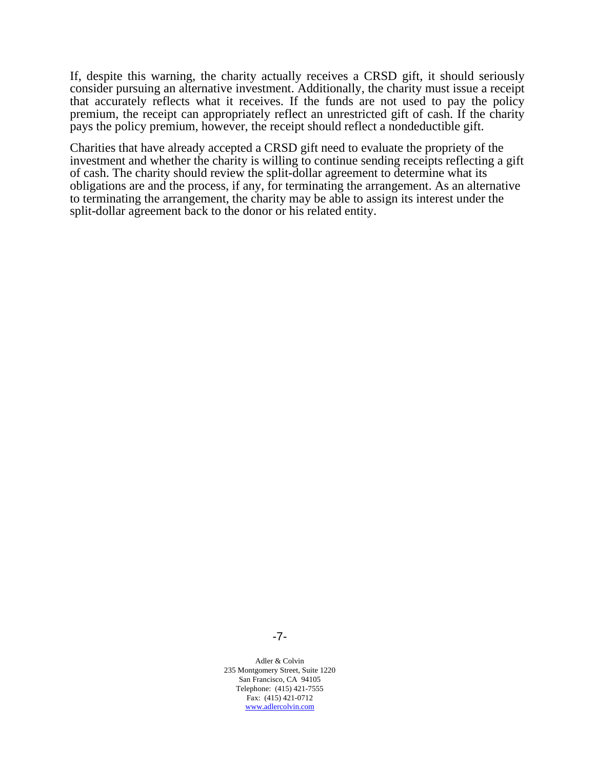If, despite this warning, the charity actually receives a CRSD gift, it should seriously consider pursuing an alternative investment. Additionally, the charity must issue a receipt that accurately reflects what it receives. If the funds are not used to pay the policy premium, the receipt can appropriately reflect an unrestricted gift of cash. If the charity pays the policy premium, however, the receipt should reflect a nondeductible gift.

Charities that have already accepted a CRSD gift need to evaluate the propriety of the investment and whether the charity is willing to continue sending receipts reflecting a gift of cash. The charity should review the split-dollar agreement to determine what its obligations are and the process, if any, for terminating the arrangement. As an alternative to terminating the arrangement, the charity may be able to assign its interest under the split-dollar agreement back to the donor or his related entity.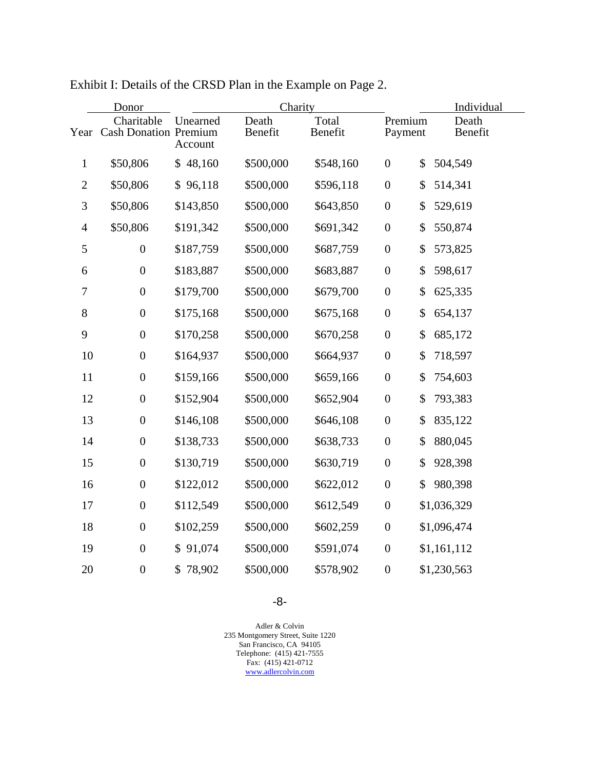|                  | Donor                                    | Charity             |                  |                  |                  | Individual |                  |  |
|------------------|------------------------------------------|---------------------|------------------|------------------|------------------|------------|------------------|--|
|                  | Charitable<br>Year Cash Donation Premium | Unearned<br>Account | Death<br>Benefit | Total<br>Benefit | Payment          | Premium    | Death<br>Benefit |  |
| $\mathbf{1}$     | \$50,806                                 | \$48,160            | \$500,000        | \$548,160        | $\boldsymbol{0}$ | \$         | 504,549          |  |
| $\mathfrak{2}$   | \$50,806                                 | \$96,118            | \$500,000        | \$596,118        | $\boldsymbol{0}$ | \$         | 514,341          |  |
| $\mathfrak{Z}$   | \$50,806                                 | \$143,850           | \$500,000        | \$643,850        | $\boldsymbol{0}$ | \$         | 529,619          |  |
| $\overline{4}$   | \$50,806                                 | \$191,342           | \$500,000        | \$691,342        | $\boldsymbol{0}$ | \$         | 550,874          |  |
| 5                | $\boldsymbol{0}$                         | \$187,759           | \$500,000        | \$687,759        | $\boldsymbol{0}$ | \$         | 573,825          |  |
| 6                | $\boldsymbol{0}$                         | \$183,887           | \$500,000        | \$683,887        | $\boldsymbol{0}$ | \$         | 598,617          |  |
| $\boldsymbol{7}$ | $\boldsymbol{0}$                         | \$179,700           | \$500,000        | \$679,700        | $\boldsymbol{0}$ | \$         | 625,335          |  |
| 8                | $\boldsymbol{0}$                         | \$175,168           | \$500,000        | \$675,168        | $\boldsymbol{0}$ | \$         | 654,137          |  |
| 9                | $\boldsymbol{0}$                         | \$170,258           | \$500,000        | \$670,258        | $\boldsymbol{0}$ | \$         | 685,172          |  |
| 10               | $\boldsymbol{0}$                         | \$164,937           | \$500,000        | \$664,937        | $\boldsymbol{0}$ | \$         | 718,597          |  |
| 11               | $\boldsymbol{0}$                         | \$159,166           | \$500,000        | \$659,166        | $\boldsymbol{0}$ | \$         | 754,603          |  |
| 12               | $\boldsymbol{0}$                         | \$152,904           | \$500,000        | \$652,904        | $\boldsymbol{0}$ | \$         | 793,383          |  |
| 13               | $\boldsymbol{0}$                         | \$146,108           | \$500,000        | \$646,108        | $\boldsymbol{0}$ | \$         | 835,122          |  |
| 14               | $\boldsymbol{0}$                         | \$138,733           | \$500,000        | \$638,733        | $\boldsymbol{0}$ | \$         | 880,045          |  |
| 15               | $\boldsymbol{0}$                         | \$130,719           | \$500,000        | \$630,719        | $\boldsymbol{0}$ | \$         | 928,398          |  |
| 16               | $\boldsymbol{0}$                         | \$122,012           | \$500,000        | \$622,012        | $\boldsymbol{0}$ | \$         | 980,398          |  |
| 17               | $\boldsymbol{0}$                         | \$112,549           | \$500,000        | \$612,549        | $\boldsymbol{0}$ |            | \$1,036,329      |  |
| 18               | $\boldsymbol{0}$                         | \$102,259           | \$500,000        | \$602,259        | $\boldsymbol{0}$ |            | \$1,096,474      |  |
| 19               | $\boldsymbol{0}$                         | 91,074<br>\$        | \$500,000        | \$591,074        | $\boldsymbol{0}$ |            | \$1,161,112      |  |
| 20               | $\boldsymbol{0}$                         | 78,902<br>\$        | \$500,000        | \$578,902        | $\boldsymbol{0}$ |            | \$1,230,563      |  |

Exhibit I: Details of the CRSD Plan in the Example on Page 2.

-8-